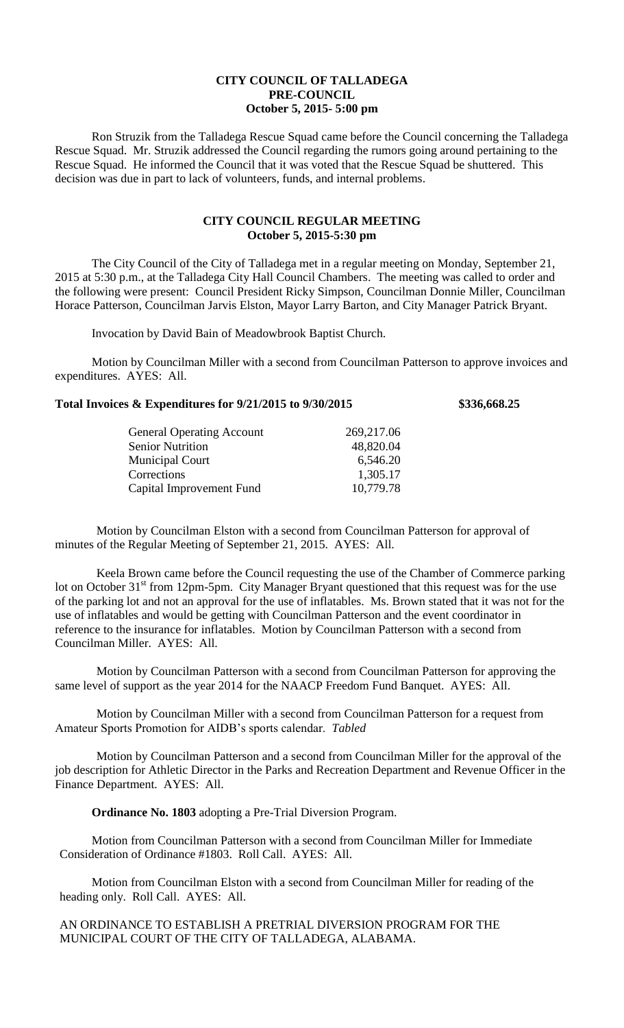## **CITY COUNCIL OF TALLADEGA PRE-COUNCIL October 5, 2015- 5:00 pm**

Ron Struzik from the Talladega Rescue Squad came before the Council concerning the Talladega Rescue Squad. Mr. Struzik addressed the Council regarding the rumors going around pertaining to the Rescue Squad. He informed the Council that it was voted that the Rescue Squad be shuttered. This decision was due in part to lack of volunteers, funds, and internal problems.

## **CITY COUNCIL REGULAR MEETING October 5, 2015-5:30 pm**

The City Council of the City of Talladega met in a regular meeting on Monday, September 21, 2015 at 5:30 p.m., at the Talladega City Hall Council Chambers. The meeting was called to order and the following were present: Council President Ricky Simpson, Councilman Donnie Miller, Councilman Horace Patterson, Councilman Jarvis Elston, Mayor Larry Barton, and City Manager Patrick Bryant.

Invocation by David Bain of Meadowbrook Baptist Church.

Motion by Councilman Miller with a second from Councilman Patterson to approve invoices and expenditures. AYES: All.

## **Total Invoices & Expenditures for 9/21/2015 to 9/30/2015 \$336,668.25**

| <b>General Operating Account</b> | 269,217.06 |
|----------------------------------|------------|
| <b>Senior Nutrition</b>          | 48,820.04  |
| <b>Municipal Court</b>           | 6,546.20   |
| Corrections                      | 1,305.17   |
| Capital Improvement Fund         | 10,779.78  |
|                                  |            |

Motion by Councilman Elston with a second from Councilman Patterson for approval of minutes of the Regular Meeting of September 21, 2015. AYES: All.

Keela Brown came before the Council requesting the use of the Chamber of Commerce parking lot on October 31<sup>st</sup> from 12pm-5pm. City Manager Bryant questioned that this request was for the use of the parking lot and not an approval for the use of inflatables. Ms. Brown stated that it was not for the use of inflatables and would be getting with Councilman Patterson and the event coordinator in reference to the insurance for inflatables. Motion by Councilman Patterson with a second from Councilman Miller. AYES: All.

Motion by Councilman Patterson with a second from Councilman Patterson for approving the same level of support as the year 2014 for the NAACP Freedom Fund Banquet. AYES: All.

Motion by Councilman Miller with a second from Councilman Patterson for a request from Amateur Sports Promotion for AIDB's sports calendar. *Tabled*

Motion by Councilman Patterson and a second from Councilman Miller for the approval of the job description for Athletic Director in the Parks and Recreation Department and Revenue Officer in the Finance Department. AYES: All.

**Ordinance No. 1803** adopting a Pre-Trial Diversion Program.

Motion from Councilman Patterson with a second from Councilman Miller for Immediate Consideration of Ordinance #1803. Roll Call. AYES: All.

Motion from Councilman Elston with a second from Councilman Miller for reading of the heading only. Roll Call. AYES: All.

AN ORDINANCE TO ESTABLISH A PRETRIAL DIVERSION PROGRAM FOR THE MUNICIPAL COURT OF THE CITY OF TALLADEGA, ALABAMA.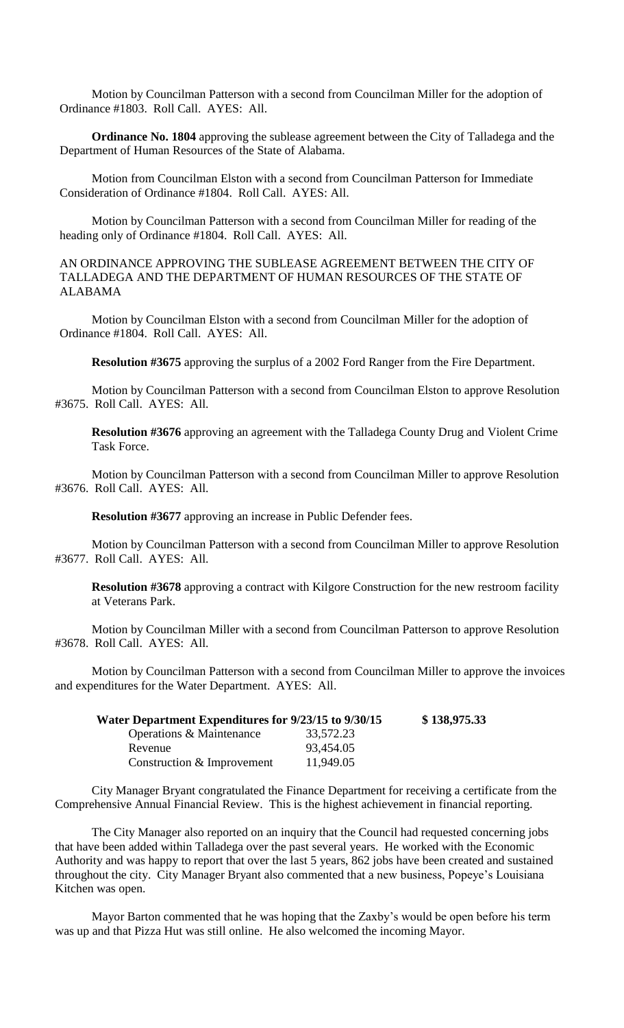Motion by Councilman Patterson with a second from Councilman Miller for the adoption of Ordinance #1803. Roll Call. AYES: All.

**Ordinance No. 1804** approving the sublease agreement between the City of Talladega and the Department of Human Resources of the State of Alabama.

Motion from Councilman Elston with a second from Councilman Patterson for Immediate Consideration of Ordinance #1804. Roll Call. AYES: All.

Motion by Councilman Patterson with a second from Councilman Miller for reading of the heading only of Ordinance #1804. Roll Call. AYES: All.

AN ORDINANCE APPROVING THE SUBLEASE AGREEMENT BETWEEN THE CITY OF TALLADEGA AND THE DEPARTMENT OF HUMAN RESOURCES OF THE STATE OF ALABAMA

Motion by Councilman Elston with a second from Councilman Miller for the adoption of Ordinance #1804. Roll Call. AYES: All.

**Resolution #3675** approving the surplus of a 2002 Ford Ranger from the Fire Department.

Motion by Councilman Patterson with a second from Councilman Elston to approve Resolution #3675. Roll Call. AYES: All.

**Resolution #3676** approving an agreement with the Talladega County Drug and Violent Crime Task Force.

Motion by Councilman Patterson with a second from Councilman Miller to approve Resolution #3676. Roll Call. AYES: All.

**Resolution #3677** approving an increase in Public Defender fees.

Motion by Councilman Patterson with a second from Councilman Miller to approve Resolution #3677. Roll Call. AYES: All.

**Resolution #3678** approving a contract with Kilgore Construction for the new restroom facility at Veterans Park.

Motion by Councilman Miller with a second from Councilman Patterson to approve Resolution #3678. Roll Call. AYES: All.

Motion by Councilman Patterson with a second from Councilman Miller to approve the invoices and expenditures for the Water Department. AYES: All.

| Water Department Expenditures for 9/23/15 to 9/30/15 |           | \$138,975.33 |
|------------------------------------------------------|-----------|--------------|
| Operations & Maintenance                             | 33,572.23 |              |
| Revenue                                              | 93,454.05 |              |
| Construction & Improvement                           | 11,949.05 |              |

City Manager Bryant congratulated the Finance Department for receiving a certificate from the Comprehensive Annual Financial Review. This is the highest achievement in financial reporting.

The City Manager also reported on an inquiry that the Council had requested concerning jobs that have been added within Talladega over the past several years. He worked with the Economic Authority and was happy to report that over the last 5 years, 862 jobs have been created and sustained throughout the city. City Manager Bryant also commented that a new business, Popeye's Louisiana Kitchen was open.

Mayor Barton commented that he was hoping that the Zaxby's would be open before his term was up and that Pizza Hut was still online. He also welcomed the incoming Mayor.